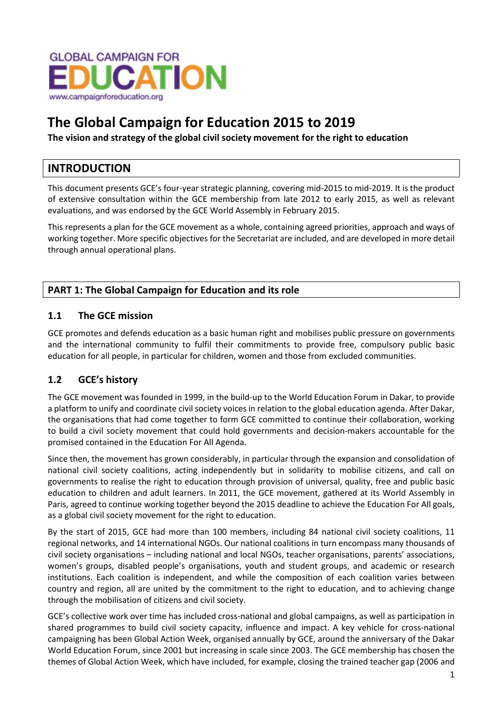

# The Global Campaign for Education 2015 to 2019

The vision and strategy of the global civil society movement for the right to education

# INTRODUCTION

This document presents GCE's four-year strategic planning, covering mid-2015 to mid-2019. It is the product of extensive consultation within the GCE membership from late 2012 to early 2015, as well as relevant evaluations, and was endorsed by the GCE World Assembly in February 2015.

This represents a plan for the GCE movement as a whole, containing agreed priorities, approach and ways of working together. More specific objectives for the Secretariat are included, and are developed in more detail through annual operational plans.

# PART 1: The Global Campaign for Education and its role

# 1.1 The GCE mission

GCE promotes and defends education as a basic human right and mobilises public pressure on governments and the international community to fulfil their commitments to provide free, compulsory public basic education for all people, in particular for children, women and those from excluded communities.

# 1.2 GCE's history

The GCE movement was founded in 1999, in the build-up to the World Education Forum in Dakar, to provide a platform to unify and coordinate civil society voices in relation to the global education agenda. After Dakar, the organisations that had come together to form GCE committed to continue their collaboration, working to build a civil society movement that could hold governments and decision-makers accountable for the promised contained in the Education For All Agenda.

Since then, the movement has grown considerably, in particular through the expansion and consolidation of national civil society coalitions, acting independently but in solidarity to mobilise citizens, and call on governments to realise the right to education through provision of universal, quality, free and public basic education to children and adult learners. In 2011, the GCE movement, gathered at its World Assembly in Paris, agreed to continue working together beyond the 2015 deadline to achieve the Education For All goals, as a global civil society movement for the right to education.

By the start of 2015, GCE had more than 100 members, including 84 national civil society coalitions, 11 regional networks, and 14 international NGOs. Our national coalitions in turn encompass many thousands of civil society organisations – including national and local NGOs, teacher organisations, parents' associations, women's groups, disabled people's organisations, youth and student groups, and academic or research institutions. Each coalition is independent, and while the composition of each coalition varies between country and region, all are united by the commitment to the right to education, and to achieving change through the mobilisation of citizens and civil society.

GCE's collective work over time has included cross-national and global campaigns, as well as participation in shared programmes to build civil society capacity, influence and impact. A key vehicle for cross-national campaigning has been Global Action Week, organised annually by GCE, around the anniversary of the Dakar World Education Forum, since 2001 but increasing in scale since 2003. The GCE membership has chosen the themes of Global Action Week, which have included, for example, closing the trained teacher gap (2006 and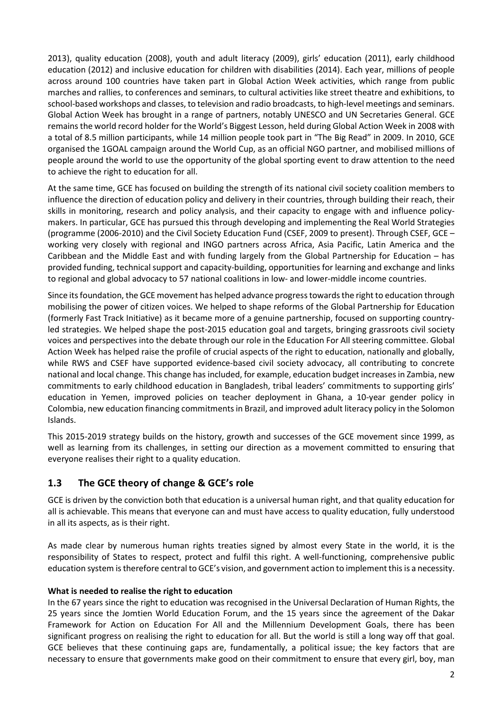2013), quality education (2008), youth and adult literacy (2009), girls' education (2011), early childhood education (2012) and inclusive education for children with disabilities (2014). Each year, millions of people across around 100 countries have taken part in Global Action Week activities, which range from public marches and rallies, to conferences and seminars, to cultural activities like street theatre and exhibitions, to school-based workshops and classes, to television and radio broadcasts, to high-level meetings and seminars. Global Action Week has brought in a range of partners, notably UNESCO and UN Secretaries General. GCE remains the world record holder for the World's Biggest Lesson, held during Global Action Week in 2008 with a total of 8.5 million participants, while 14 million people took part in "The Big Read" in 2009. In 2010, GCE organised the 1GOAL campaign around the World Cup, as an official NGO partner, and mobilised millions of people around the world to use the opportunity of the global sporting event to draw attention to the need to achieve the right to education for all.

At the same time, GCE has focused on building the strength of its national civil society coalition members to influence the direction of education policy and delivery in their countries, through building their reach, their skills in monitoring, research and policy analysis, and their capacity to engage with and influence policymakers. In particular, GCE has pursued this through developing and implementing the Real World Strategies (programme (2006-2010) and the Civil Society Education Fund (CSEF, 2009 to present). Through CSEF, GCE – working very closely with regional and INGO partners across Africa, Asia Pacific, Latin America and the Caribbean and the Middle East and with funding largely from the Global Partnership for Education – has provided funding, technical support and capacity-building, opportunities for learning and exchange and links to regional and global advocacy to 57 national coalitions in low- and lower-middle income countries.

Since its foundation, the GCE movement has helped advance progress towards the right to education through mobilising the power of citizen voices. We helped to shape reforms of the Global Partnership for Education (formerly Fast Track Initiative) as it became more of a genuine partnership, focused on supporting countryled strategies. We helped shape the post-2015 education goal and targets, bringing grassroots civil society voices and perspectives into the debate through our role in the Education For All steering committee. Global Action Week has helped raise the profile of crucial aspects of the right to education, nationally and globally, while RWS and CSEF have supported evidence-based civil society advocacy, all contributing to concrete national and local change. This change has included, for example, education budget increases in Zambia, new commitments to early childhood education in Bangladesh, tribal leaders' commitments to supporting girls' education in Yemen, improved policies on teacher deployment in Ghana, a 10-year gender policy in Colombia, new education financing commitments in Brazil, and improved adult literacy policy in the Solomon Islands.

This 2015-2019 strategy builds on the history, growth and successes of the GCE movement since 1999, as well as learning from its challenges, in setting our direction as a movement committed to ensuring that everyone realises their right to a quality education.

# 1.3 The GCE theory of change & GCE's role

GCE is driven by the conviction both that education is a universal human right, and that quality education for all is achievable. This means that everyone can and must have access to quality education, fully understood in all its aspects, as is their right.

As made clear by numerous human rights treaties signed by almost every State in the world, it is the responsibility of States to respect, protect and fulfil this right. A well-functioning, comprehensive public education system is therefore central to GCE's vision, and government action to implement this is a necessity.

#### What is needed to realise the right to education

In the 67 years since the right to education was recognised in the Universal Declaration of Human Rights, the 25 years since the Jomtien World Education Forum, and the 15 years since the agreement of the Dakar Framework for Action on Education For All and the Millennium Development Goals, there has been significant progress on realising the right to education for all. But the world is still a long way off that goal. GCE believes that these continuing gaps are, fundamentally, a political issue; the key factors that are necessary to ensure that governments make good on their commitment to ensure that every girl, boy, man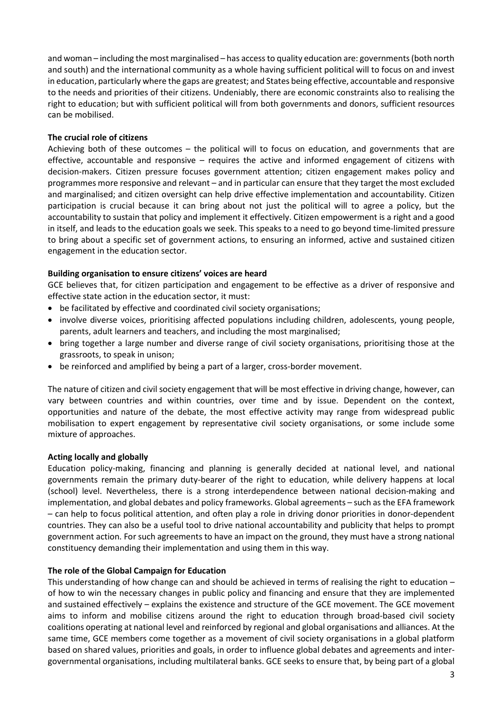and woman – including the most marginalised – has access to quality education are: governments (both north and south) and the international community as a whole having sufficient political will to focus on and invest in education, particularly where the gaps are greatest; and States being effective, accountable and responsive to the needs and priorities of their citizens. Undeniably, there are economic constraints also to realising the right to education; but with sufficient political will from both governments and donors, sufficient resources can be mobilised.

#### The crucial role of citizens

Achieving both of these outcomes – the political will to focus on education, and governments that are effective, accountable and responsive – requires the active and informed engagement of citizens with decision-makers. Citizen pressure focuses government attention; citizen engagement makes policy and programmes more responsive and relevant – and in particular can ensure that they target the most excluded and marginalised; and citizen oversight can help drive effective implementation and accountability. Citizen participation is crucial because it can bring about not just the political will to agree a policy, but the accountability to sustain that policy and implement it effectively. Citizen empowerment is a right and a good in itself, and leads to the education goals we seek. This speaks to a need to go beyond time-limited pressure to bring about a specific set of government actions, to ensuring an informed, active and sustained citizen engagement in the education sector.

#### Building organisation to ensure citizens' voices are heard

GCE believes that, for citizen participation and engagement to be effective as a driver of responsive and effective state action in the education sector, it must:

- be facilitated by effective and coordinated civil society organisations;
- involve diverse voices, prioritising affected populations including children, adolescents, young people, parents, adult learners and teachers, and including the most marginalised;
- bring together a large number and diverse range of civil society organisations, prioritising those at the grassroots, to speak in unison;
- be reinforced and amplified by being a part of a larger, cross-border movement.

The nature of citizen and civil society engagement that will be most effective in driving change, however, can vary between countries and within countries, over time and by issue. Dependent on the context, opportunities and nature of the debate, the most effective activity may range from widespread public mobilisation to expert engagement by representative civil society organisations, or some include some mixture of approaches.

#### Acting locally and globally

Education policy-making, financing and planning is generally decided at national level, and national governments remain the primary duty-bearer of the right to education, while delivery happens at local (school) level. Nevertheless, there is a strong interdependence between national decision-making and implementation, and global debates and policy frameworks. Global agreements – such as the EFA framework – can help to focus political attention, and often play a role in driving donor priorities in donor-dependent countries. They can also be a useful tool to drive national accountability and publicity that helps to prompt government action. For such agreements to have an impact on the ground, they must have a strong national constituency demanding their implementation and using them in this way.

#### The role of the Global Campaign for Education

This understanding of how change can and should be achieved in terms of realising the right to education – of how to win the necessary changes in public policy and financing and ensure that they are implemented and sustained effectively – explains the existence and structure of the GCE movement. The GCE movement aims to inform and mobilise citizens around the right to education through broad-based civil society coalitions operating at national level and reinforced by regional and global organisations and alliances. At the same time, GCE members come together as a movement of civil society organisations in a global platform based on shared values, priorities and goals, in order to influence global debates and agreements and intergovernmental organisations, including multilateral banks. GCE seeks to ensure that, by being part of a global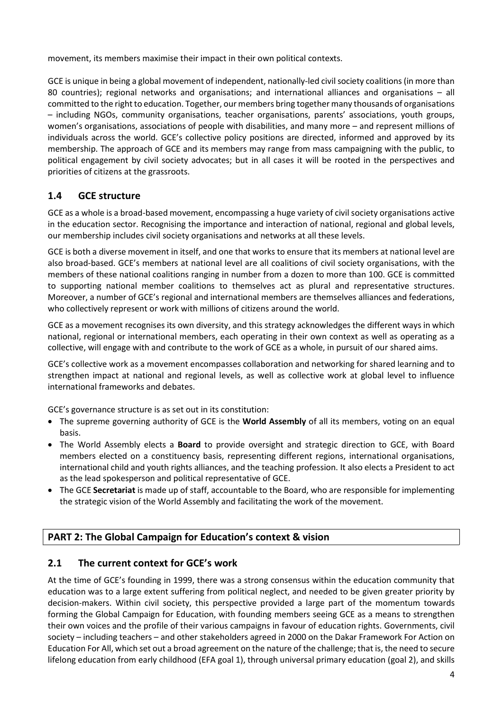movement, its members maximise their impact in their own political contexts.

GCE is unique in being a global movement of independent, nationally-led civil society coalitions (in more than 80 countries); regional networks and organisations; and international alliances and organisations – all committed to the right to education. Together, our members bring together many thousands of organisations – including NGOs, community organisations, teacher organisations, parents' associations, youth groups, women's organisations, associations of people with disabilities, and many more – and represent millions of individuals across the world. GCE's collective policy positions are directed, informed and approved by its membership. The approach of GCE and its members may range from mass campaigning with the public, to political engagement by civil society advocates; but in all cases it will be rooted in the perspectives and priorities of citizens at the grassroots.

# 1.4 GCE structure

GCE as a whole is a broad-based movement, encompassing a huge variety of civil society organisations active in the education sector. Recognising the importance and interaction of national, regional and global levels, our membership includes civil society organisations and networks at all these levels.

GCE is both a diverse movement in itself, and one that works to ensure that its members at national level are also broad-based. GCE's members at national level are all coalitions of civil society organisations, with the members of these national coalitions ranging in number from a dozen to more than 100. GCE is committed to supporting national member coalitions to themselves act as plural and representative structures. Moreover, a number of GCE's regional and international members are themselves alliances and federations, who collectively represent or work with millions of citizens around the world.

GCE as a movement recognises its own diversity, and this strategy acknowledges the different ways in which national, regional or international members, each operating in their own context as well as operating as a collective, will engage with and contribute to the work of GCE as a whole, in pursuit of our shared aims.

GCE's collective work as a movement encompasses collaboration and networking for shared learning and to strengthen impact at national and regional levels, as well as collective work at global level to influence international frameworks and debates.

GCE's governance structure is as set out in its constitution:

- The supreme governing authority of GCE is the **World Assembly** of all its members, voting on an equal basis.
- The World Assembly elects a **Board** to provide oversight and strategic direction to GCE, with Board members elected on a constituency basis, representing different regions, international organisations, international child and youth rights alliances, and the teaching profession. It also elects a President to act as the lead spokesperson and political representative of GCE.
- The GCE Secretariat is made up of staff, accountable to the Board, who are responsible for implementing the strategic vision of the World Assembly and facilitating the work of the movement.

# PART 2: The Global Campaign for Education's context & vision

# 2.1 The current context for GCE's work

At the time of GCE's founding in 1999, there was a strong consensus within the education community that education was to a large extent suffering from political neglect, and needed to be given greater priority by decision-makers. Within civil society, this perspective provided a large part of the momentum towards forming the Global Campaign for Education, with founding members seeing GCE as a means to strengthen their own voices and the profile of their various campaigns in favour of education rights. Governments, civil society – including teachers – and other stakeholders agreed in 2000 on the Dakar Framework For Action on Education For All, which set out a broad agreement on the nature of the challenge; that is, the need to secure lifelong education from early childhood (EFA goal 1), through universal primary education (goal 2), and skills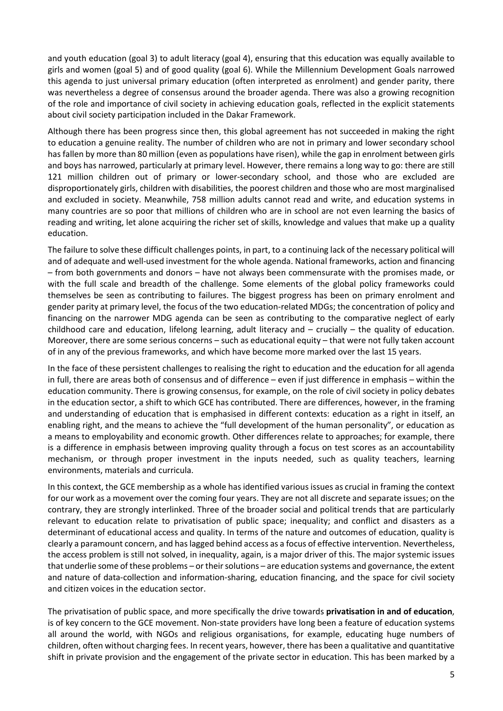and youth education (goal 3) to adult literacy (goal 4), ensuring that this education was equally available to girls and women (goal 5) and of good quality (goal 6). While the Millennium Development Goals narrowed this agenda to just universal primary education (often interpreted as enrolment) and gender parity, there was nevertheless a degree of consensus around the broader agenda. There was also a growing recognition of the role and importance of civil society in achieving education goals, reflected in the explicit statements about civil society participation included in the Dakar Framework.

Although there has been progress since then, this global agreement has not succeeded in making the right to education a genuine reality. The number of children who are not in primary and lower secondary school has fallen by more than 80 million (even as populations have risen), while the gap in enrolment between girls and boys has narrowed, particularly at primary level. However, there remains a long way to go: there are still 121 million children out of primary or lower-secondary school, and those who are excluded are disproportionately girls, children with disabilities, the poorest children and those who are most marginalised and excluded in society. Meanwhile, 758 million adults cannot read and write, and education systems in many countries are so poor that millions of children who are in school are not even learning the basics of reading and writing, let alone acquiring the richer set of skills, knowledge and values that make up a quality education.

The failure to solve these difficult challenges points, in part, to a continuing lack of the necessary political will and of adequate and well-used investment for the whole agenda. National frameworks, action and financing – from both governments and donors – have not always been commensurate with the promises made, or with the full scale and breadth of the challenge. Some elements of the global policy frameworks could themselves be seen as contributing to failures. The biggest progress has been on primary enrolment and gender parity at primary level, the focus of the two education-related MDGs; the concentration of policy and financing on the narrower MDG agenda can be seen as contributing to the comparative neglect of early childhood care and education, lifelong learning, adult literacy and – crucially – the quality of education. Moreover, there are some serious concerns – such as educational equity – that were not fully taken account of in any of the previous frameworks, and which have become more marked over the last 15 years.

In the face of these persistent challenges to realising the right to education and the education for all agenda in full, there are areas both of consensus and of difference – even if just difference in emphasis – within the education community. There is growing consensus, for example, on the role of civil society in policy debates in the education sector, a shift to which GCE has contributed. There are differences, however, in the framing and understanding of education that is emphasised in different contexts: education as a right in itself, an enabling right, and the means to achieve the "full development of the human personality", or education as a means to employability and economic growth. Other differences relate to approaches; for example, there is a difference in emphasis between improving quality through a focus on test scores as an accountability mechanism, or through proper investment in the inputs needed, such as quality teachers, learning environments, materials and curricula.

In this context, the GCE membership as a whole has identified various issues as crucial in framing the context for our work as a movement over the coming four years. They are not all discrete and separate issues; on the contrary, they are strongly interlinked. Three of the broader social and political trends that are particularly relevant to education relate to privatisation of public space; inequality; and conflict and disasters as a determinant of educational access and quality. In terms of the nature and outcomes of education, quality is clearly a paramount concern, and has lagged behind access as a focus of effective intervention. Nevertheless, the access problem is still not solved, in inequality, again, is a major driver of this. The major systemic issues that underlie some of these problems – or their solutions – are education systems and governance, the extent and nature of data-collection and information-sharing, education financing, and the space for civil society and citizen voices in the education sector.

The privatisation of public space, and more specifically the drive towards privatisation in and of education, is of key concern to the GCE movement. Non-state providers have long been a feature of education systems all around the world, with NGOs and religious organisations, for example, educating huge numbers of children, often without charging fees. In recent years, however, there has been a qualitative and quantitative shift in private provision and the engagement of the private sector in education. This has been marked by a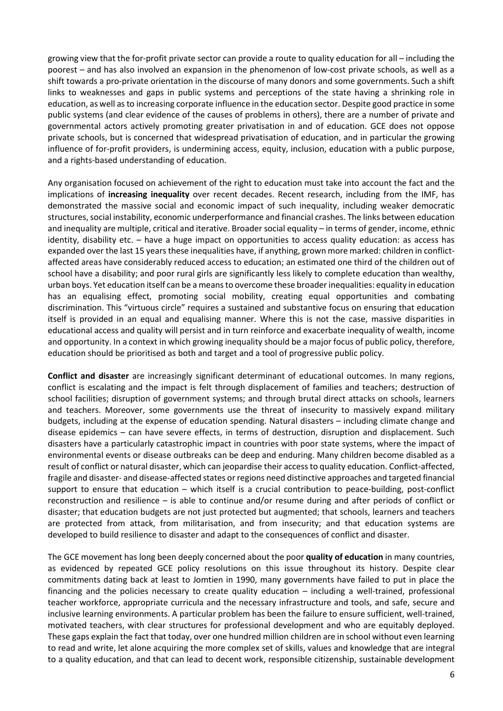growing view that the for-profit private sector can provide a route to quality education for all – including the poorest – and has also involved an expansion in the phenomenon of low-cost private schools, as well as a shift towards a pro-private orientation in the discourse of many donors and some governments. Such a shift links to weaknesses and gaps in public systems and perceptions of the state having a shrinking role in education, as well as to increasing corporate influence in the education sector. Despite good practice in some public systems (and clear evidence of the causes of problems in others), there are a number of private and governmental actors actively promoting greater privatisation in and of education. GCE does not oppose private schools, but is concerned that widespread privatisation of education, and in particular the growing influence of for-profit providers, is undermining access, equity, inclusion, education with a public purpose, and a rights-based understanding of education.

Any organisation focused on achievement of the right to education must take into account the fact and the implications of increasing inequality over recent decades. Recent research, including from the IMF, has demonstrated the massive social and economic impact of such inequality, including weaker democratic structures, social instability, economic underperformance and financial crashes. The links between education and inequality are multiple, critical and iterative. Broader social equality – in terms of gender, income, ethnic identity, disability etc. – have a huge impact on opportunities to access quality education: as access has expanded over the last 15 years these inequalities have, if anything, grown more marked: children in conflictaffected areas have considerably reduced access to education; an estimated one third of the children out of school have a disability; and poor rural girls are significantly less likely to complete education than wealthy, urban boys. Yet education itself can be a means to overcome these broader inequalities: equality in education has an equalising effect, promoting social mobility, creating equal opportunities and combating discrimination. This "virtuous circle" requires a sustained and substantive focus on ensuring that education itself is provided in an equal and equalising manner. Where this is not the case, massive disparities in educational access and quality will persist and in turn reinforce and exacerbate inequality of wealth, income and opportunity. In a context in which growing inequality should be a major focus of public policy, therefore, education should be prioritised as both and target and a tool of progressive public policy.

Conflict and disaster are increasingly significant determinant of educational outcomes. In many regions, conflict is escalating and the impact is felt through displacement of families and teachers; destruction of school facilities; disruption of government systems; and through brutal direct attacks on schools, learners and teachers. Moreover, some governments use the threat of insecurity to massively expand military budgets, including at the expense of education spending. Natural disasters – including climate change and disease epidemics – can have severe effects, in terms of destruction, disruption and displacement. Such disasters have a particularly catastrophic impact in countries with poor state systems, where the impact of environmental events or disease outbreaks can be deep and enduring. Many children become disabled as a result of conflict or natural disaster, which can jeopardise their access to quality education. Conflict-affected, fragile and disaster- and disease-affected states or regions need distinctive approaches and targeted financial support to ensure that education – which itself is a crucial contribution to peace-building, post-conflict reconstruction and resilience – is able to continue and/or resume during and after periods of conflict or disaster; that education budgets are not just protected but augmented; that schools, learners and teachers are protected from attack, from militarisation, and from insecurity; and that education systems are developed to build resilience to disaster and adapt to the consequences of conflict and disaster.

The GCE movement has long been deeply concerned about the poor quality of education in many countries, as evidenced by repeated GCE policy resolutions on this issue throughout its history. Despite clear commitments dating back at least to Jomtien in 1990, many governments have failed to put in place the financing and the policies necessary to create quality education – including a well-trained, professional teacher workforce, appropriate curricula and the necessary infrastructure and tools, and safe, secure and inclusive learning environments. A particular problem has been the failure to ensure sufficient, well-trained, motivated teachers, with clear structures for professional development and who are equitably deployed. These gaps explain the fact that today, over one hundred million children are in school without even learning to read and write, let alone acquiring the more complex set of skills, values and knowledge that are integral to a quality education, and that can lead to decent work, responsible citizenship, sustainable development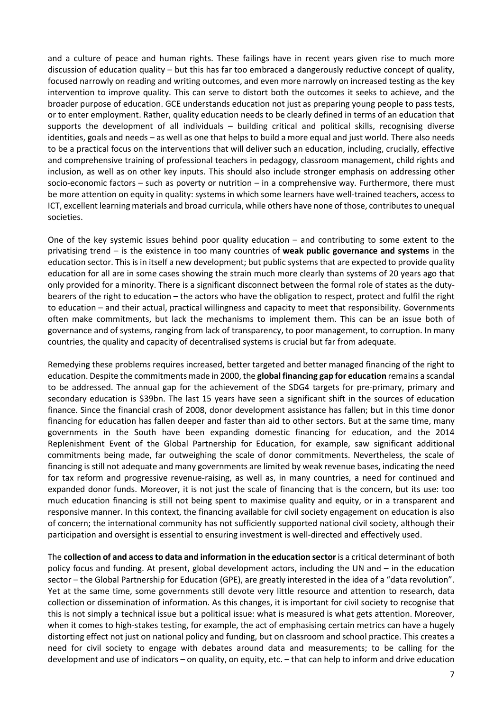and a culture of peace and human rights. These failings have in recent years given rise to much more discussion of education quality – but this has far too embraced a dangerously reductive concept of quality, focused narrowly on reading and writing outcomes, and even more narrowly on increased testing as the key intervention to improve quality. This can serve to distort both the outcomes it seeks to achieve, and the broader purpose of education. GCE understands education not just as preparing young people to pass tests, or to enter employment. Rather, quality education needs to be clearly defined in terms of an education that supports the development of all individuals – building critical and political skills, recognising diverse identities, goals and needs – as well as one that helps to build a more equal and just world. There also needs to be a practical focus on the interventions that will deliver such an education, including, crucially, effective and comprehensive training of professional teachers in pedagogy, classroom management, child rights and inclusion, as well as on other key inputs. This should also include stronger emphasis on addressing other socio-economic factors – such as poverty or nutrition – in a comprehensive way. Furthermore, there must be more attention on equity in quality: systems in which some learners have well-trained teachers, access to ICT, excellent learning materials and broad curricula, while others have none of those, contributes to unequal societies.

One of the key systemic issues behind poor quality education – and contributing to some extent to the privatising trend – is the existence in too many countries of weak public governance and systems in the education sector. This is in itself a new development; but public systems that are expected to provide quality education for all are in some cases showing the strain much more clearly than systems of 20 years ago that only provided for a minority. There is a significant disconnect between the formal role of states as the dutybearers of the right to education – the actors who have the obligation to respect, protect and fulfil the right to education – and their actual, practical willingness and capacity to meet that responsibility. Governments often make commitments, but lack the mechanisms to implement them. This can be an issue both of governance and of systems, ranging from lack of transparency, to poor management, to corruption. In many countries, the quality and capacity of decentralised systems is crucial but far from adequate.

Remedying these problems requires increased, better targeted and better managed financing of the right to education. Despite the commitments made in 2000, the global financing gap for education remains a scandal to be addressed. The annual gap for the achievement of the SDG4 targets for pre-primary, primary and secondary education is \$39bn. The last 15 years have seen a significant shift in the sources of education finance. Since the financial crash of 2008, donor development assistance has fallen; but in this time donor financing for education has fallen deeper and faster than aid to other sectors. But at the same time, many governments in the South have been expanding domestic financing for education, and the 2014 Replenishment Event of the Global Partnership for Education, for example, saw significant additional commitments being made, far outweighing the scale of donor commitments. Nevertheless, the scale of financing is still not adequate and many governments are limited by weak revenue bases, indicating the need for tax reform and progressive revenue-raising, as well as, in many countries, a need for continued and expanded donor funds. Moreover, it is not just the scale of financing that is the concern, but its use: too much education financing is still not being spent to maximise quality and equity, or in a transparent and responsive manner. In this context, the financing available for civil society engagement on education is also of concern; the international community has not sufficiently supported national civil society, although their participation and oversight is essential to ensuring investment is well-directed and effectively used.

The collection of and access to data and information in the education sector is a critical determinant of both policy focus and funding. At present, global development actors, including the UN and – in the education sector – the Global Partnership for Education (GPE), are greatly interested in the idea of a "data revolution". Yet at the same time, some governments still devote very little resource and attention to research, data collection or dissemination of information. As this changes, it is important for civil society to recognise that this is not simply a technical issue but a political issue: what is measured is what gets attention. Moreover, when it comes to high-stakes testing, for example, the act of emphasising certain metrics can have a hugely distorting effect not just on national policy and funding, but on classroom and school practice. This creates a need for civil society to engage with debates around data and measurements; to be calling for the development and use of indicators – on quality, on equity, etc. – that can help to inform and drive education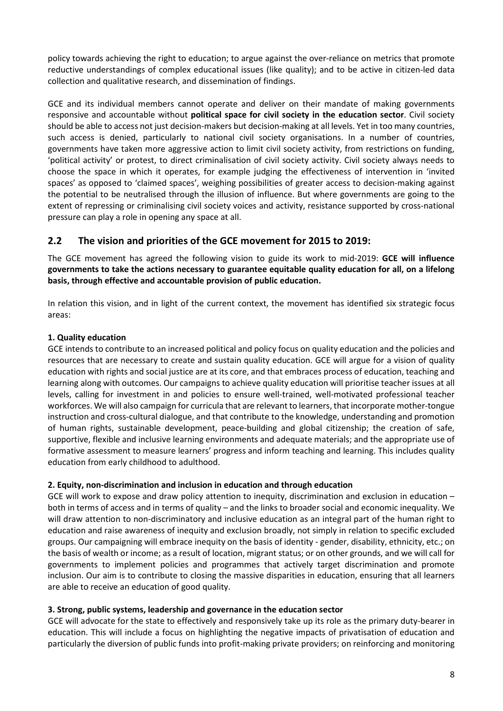policy towards achieving the right to education; to argue against the over-reliance on metrics that promote reductive understandings of complex educational issues (like quality); and to be active in citizen-led data collection and qualitative research, and dissemination of findings.

GCE and its individual members cannot operate and deliver on their mandate of making governments responsive and accountable without political space for civil society in the education sector. Civil society should be able to access not just decision-makers but decision-making at all levels. Yet in too many countries, such access is denied, particularly to national civil society organisations. In a number of countries, governments have taken more aggressive action to limit civil society activity, from restrictions on funding, 'political activity' or protest, to direct criminalisation of civil society activity. Civil society always needs to choose the space in which it operates, for example judging the effectiveness of intervention in 'invited spaces' as opposed to 'claimed spaces', weighing possibilities of greater access to decision-making against the potential to be neutralised through the illusion of influence. But where governments are going to the extent of repressing or criminalising civil society voices and activity, resistance supported by cross-national pressure can play a role in opening any space at all.

# 2.2 The vision and priorities of the GCE movement for 2015 to 2019:

The GCE movement has agreed the following vision to guide its work to mid-2019: GCE will influence governments to take the actions necessary to guarantee equitable quality education for all, on a lifelong basis, through effective and accountable provision of public education.

In relation this vision, and in light of the current context, the movement has identified six strategic focus areas:

#### 1. Quality education

GCE intends to contribute to an increased political and policy focus on quality education and the policies and resources that are necessary to create and sustain quality education. GCE will argue for a vision of quality education with rights and social justice are at its core, and that embraces process of education, teaching and learning along with outcomes. Our campaigns to achieve quality education will prioritise teacher issues at all levels, calling for investment in and policies to ensure well-trained, well-motivated professional teacher workforces. We will also campaign for curricula that are relevant to learners, that incorporate mother-tongue instruction and cross-cultural dialogue, and that contribute to the knowledge, understanding and promotion of human rights, sustainable development, peace-building and global citizenship; the creation of safe, supportive, flexible and inclusive learning environments and adequate materials; and the appropriate use of formative assessment to measure learners' progress and inform teaching and learning. This includes quality education from early childhood to adulthood.

#### 2. Equity, non-discrimination and inclusion in education and through education

GCE will work to expose and draw policy attention to inequity, discrimination and exclusion in education – both in terms of access and in terms of quality – and the links to broader social and economic inequality. We will draw attention to non-discriminatory and inclusive education as an integral part of the human right to education and raise awareness of inequity and exclusion broadly, not simply in relation to specific excluded groups. Our campaigning will embrace inequity on the basis of identity - gender, disability, ethnicity, etc.; on the basis of wealth or income; as a result of location, migrant status; or on other grounds, and we will call for governments to implement policies and programmes that actively target discrimination and promote inclusion. Our aim is to contribute to closing the massive disparities in education, ensuring that all learners are able to receive an education of good quality.

#### 3. Strong, public systems, leadership and governance in the education sector

GCE will advocate for the state to effectively and responsively take up its role as the primary duty-bearer in education. This will include a focus on highlighting the negative impacts of privatisation of education and particularly the diversion of public funds into profit-making private providers; on reinforcing and monitoring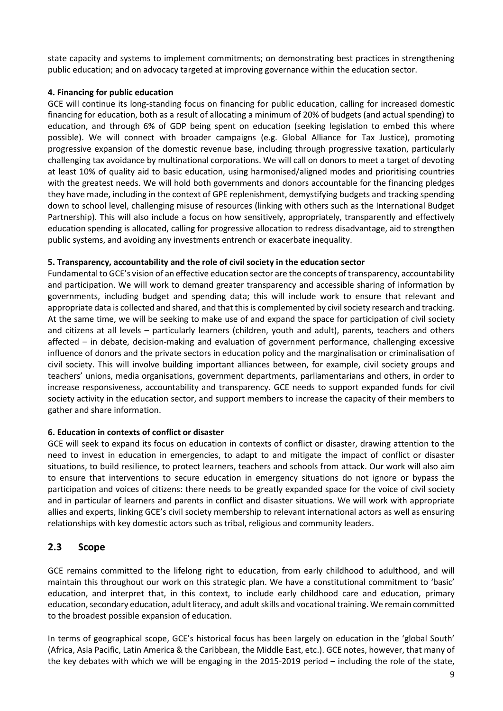state capacity and systems to implement commitments; on demonstrating best practices in strengthening public education; and on advocacy targeted at improving governance within the education sector.

#### 4. Financing for public education

GCE will continue its long-standing focus on financing for public education, calling for increased domestic financing for education, both as a result of allocating a minimum of 20% of budgets (and actual spending) to education, and through 6% of GDP being spent on education (seeking legislation to embed this where possible). We will connect with broader campaigns (e.g. Global Alliance for Tax Justice), promoting progressive expansion of the domestic revenue base, including through progressive taxation, particularly challenging tax avoidance by multinational corporations. We will call on donors to meet a target of devoting at least 10% of quality aid to basic education, using harmonised/aligned modes and prioritising countries with the greatest needs. We will hold both governments and donors accountable for the financing pledges they have made, including in the context of GPE replenishment, demystifying budgets and tracking spending down to school level, challenging misuse of resources (linking with others such as the International Budget Partnership). This will also include a focus on how sensitively, appropriately, transparently and effectively education spending is allocated, calling for progressive allocation to redress disadvantage, aid to strengthen public systems, and avoiding any investments entrench or exacerbate inequality.

#### 5. Transparency, accountability and the role of civil society in the education sector

Fundamental to GCE's vision of an effective education sector are the concepts of transparency, accountability and participation. We will work to demand greater transparency and accessible sharing of information by governments, including budget and spending data; this will include work to ensure that relevant and appropriate data is collected and shared, and that this is complemented by civil society research and tracking. At the same time, we will be seeking to make use of and expand the space for participation of civil society and citizens at all levels – particularly learners (children, youth and adult), parents, teachers and others affected – in debate, decision-making and evaluation of government performance, challenging excessive influence of donors and the private sectors in education policy and the marginalisation or criminalisation of civil society. This will involve building important alliances between, for example, civil society groups and teachers' unions, media organisations, government departments, parliamentarians and others, in order to increase responsiveness, accountability and transparency. GCE needs to support expanded funds for civil society activity in the education sector, and support members to increase the capacity of their members to gather and share information.

#### 6. Education in contexts of conflict or disaster

GCE will seek to expand its focus on education in contexts of conflict or disaster, drawing attention to the need to invest in education in emergencies, to adapt to and mitigate the impact of conflict or disaster situations, to build resilience, to protect learners, teachers and schools from attack. Our work will also aim to ensure that interventions to secure education in emergency situations do not ignore or bypass the participation and voices of citizens: there needs to be greatly expanded space for the voice of civil society and in particular of learners and parents in conflict and disaster situations. We will work with appropriate allies and experts, linking GCE's civil society membership to relevant international actors as well as ensuring relationships with key domestic actors such as tribal, religious and community leaders.

# 2.3 Scope

GCE remains committed to the lifelong right to education, from early childhood to adulthood, and will maintain this throughout our work on this strategic plan. We have a constitutional commitment to 'basic' education, and interpret that, in this context, to include early childhood care and education, primary education, secondary education, adult literacy, and adult skills and vocational training. We remain committed to the broadest possible expansion of education.

In terms of geographical scope, GCE's historical focus has been largely on education in the 'global South' (Africa, Asia Pacific, Latin America & the Caribbean, the Middle East, etc.). GCE notes, however, that many of the key debates with which we will be engaging in the 2015-2019 period – including the role of the state,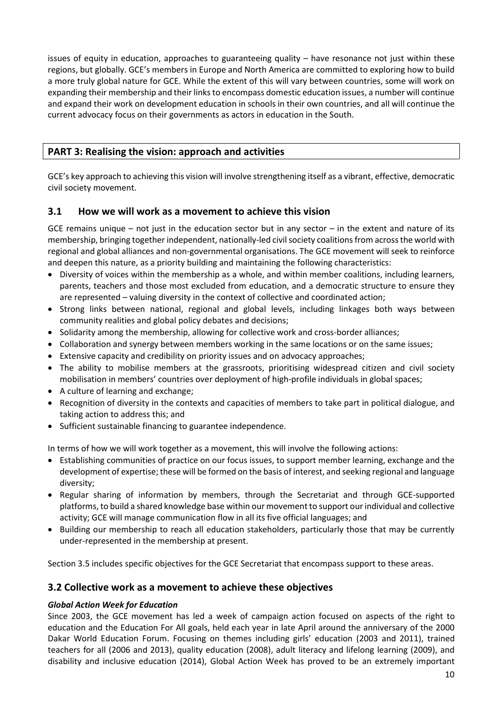issues of equity in education, approaches to guaranteeing quality – have resonance not just within these regions, but globally. GCE's members in Europe and North America are committed to exploring how to build a more truly global nature for GCE. While the extent of this will vary between countries, some will work on expanding their membership and their links to encompass domestic education issues, a number will continue and expand their work on development education in schools in their own countries, and all will continue the current advocacy focus on their governments as actors in education in the South.

# PART 3: Realising the vision: approach and activities

GCE's key approach to achieving this vision will involve strengthening itself as a vibrant, effective, democratic civil society movement.

# 3.1 How we will work as a movement to achieve this vision

GCE remains unique – not just in the education sector but in any sector – in the extent and nature of its membership, bringing together independent, nationally-led civil society coalitions from across the world with regional and global alliances and non-governmental organisations. The GCE movement will seek to reinforce and deepen this nature, as a priority building and maintaining the following characteristics:

- Diversity of voices within the membership as a whole, and within member coalitions, including learners, parents, teachers and those most excluded from education, and a democratic structure to ensure they are represented – valuing diversity in the context of collective and coordinated action;
- Strong links between national, regional and global levels, including linkages both ways between community realities and global policy debates and decisions;
- Solidarity among the membership, allowing for collective work and cross-border alliances;
- Collaboration and synergy between members working in the same locations or on the same issues;
- Extensive capacity and credibility on priority issues and on advocacy approaches;
- The ability to mobilise members at the grassroots, prioritising widespread citizen and civil society mobilisation in members' countries over deployment of high-profile individuals in global spaces;
- A culture of learning and exchange;
- Recognition of diversity in the contexts and capacities of members to take part in political dialogue, and taking action to address this; and
- Sufficient sustainable financing to guarantee independence.

In terms of how we will work together as a movement, this will involve the following actions:

- Establishing communities of practice on our focus issues, to support member learning, exchange and the development of expertise; these will be formed on the basis of interest, and seeking regional and language diversity;
- Regular sharing of information by members, through the Secretariat and through GCE-supported platforms, to build a shared knowledge base within our movement to support our individual and collective activity; GCE will manage communication flow in all its five official languages; and
- Building our membership to reach all education stakeholders, particularly those that may be currently under-represented in the membership at present.

Section 3.5 includes specific objectives for the GCE Secretariat that encompass support to these areas.

# 3.2 Collective work as a movement to achieve these objectives

#### Global Action Week for Education

Since 2003, the GCE movement has led a week of campaign action focused on aspects of the right to education and the Education For All goals, held each year in late April around the anniversary of the 2000 Dakar World Education Forum. Focusing on themes including girls' education (2003 and 2011), trained teachers for all (2006 and 2013), quality education (2008), adult literacy and lifelong learning (2009), and disability and inclusive education (2014), Global Action Week has proved to be an extremely important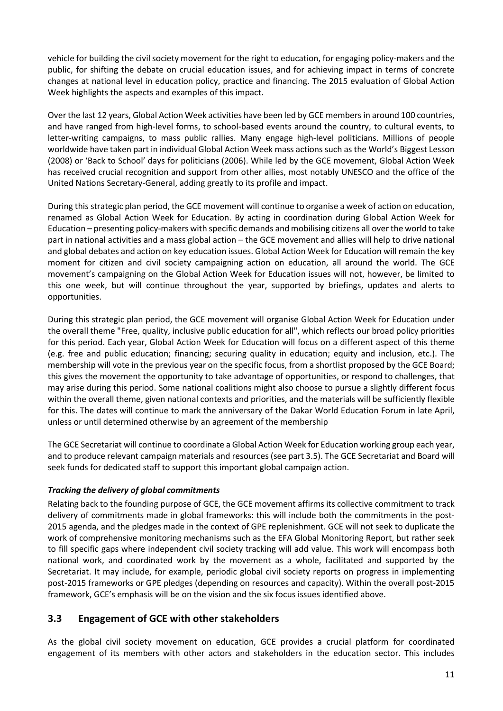vehicle for building the civil society movement for the right to education, for engaging policy-makers and the public, for shifting the debate on crucial education issues, and for achieving impact in terms of concrete changes at national level in education policy, practice and financing. The 2015 evaluation of Global Action Week highlights the aspects and examples of this impact.

Over the last 12 years, Global Action Week activities have been led by GCE members in around 100 countries, and have ranged from high-level forms, to school-based events around the country, to cultural events, to letter-writing campaigns, to mass public rallies. Many engage high-level politicians. Millions of people worldwide have taken part in individual Global Action Week mass actions such as the World's Biggest Lesson (2008) or 'Back to School' days for politicians (2006). While led by the GCE movement, Global Action Week has received crucial recognition and support from other allies, most notably UNESCO and the office of the United Nations Secretary-General, adding greatly to its profile and impact.

During this strategic plan period, the GCE movement will continue to organise a week of action on education, renamed as Global Action Week for Education. By acting in coordination during Global Action Week for Education – presenting policy-makers with specific demands and mobilising citizens all over the world to take part in national activities and a mass global action – the GCE movement and allies will help to drive national and global debates and action on key education issues. Global Action Week for Education will remain the key moment for citizen and civil society campaigning action on education, all around the world. The GCE movement's campaigning on the Global Action Week for Education issues will not, however, be limited to this one week, but will continue throughout the year, supported by briefings, updates and alerts to opportunities.

During this strategic plan period, the GCE movement will organise Global Action Week for Education under the overall theme "Free, quality, inclusive public education for all", which reflects our broad policy priorities for this period. Each year, Global Action Week for Education will focus on a different aspect of this theme (e.g. free and public education; financing; securing quality in education; equity and inclusion, etc.). The membership will vote in the previous year on the specific focus, from a shortlist proposed by the GCE Board; this gives the movement the opportunity to take advantage of opportunities, or respond to challenges, that may arise during this period. Some national coalitions might also choose to pursue a slightly different focus within the overall theme, given national contexts and priorities, and the materials will be sufficiently flexible for this. The dates will continue to mark the anniversary of the Dakar World Education Forum in late April, unless or until determined otherwise by an agreement of the membership

The GCE Secretariat will continue to coordinate a Global Action Week for Education working group each year, and to produce relevant campaign materials and resources (see part 3.5). The GCE Secretariat and Board will seek funds for dedicated staff to support this important global campaign action.

# Tracking the delivery of global commitments

Relating back to the founding purpose of GCE, the GCE movement affirms its collective commitment to track delivery of commitments made in global frameworks: this will include both the commitments in the post-2015 agenda, and the pledges made in the context of GPE replenishment. GCE will not seek to duplicate the work of comprehensive monitoring mechanisms such as the EFA Global Monitoring Report, but rather seek to fill specific gaps where independent civil society tracking will add value. This work will encompass both national work, and coordinated work by the movement as a whole, facilitated and supported by the Secretariat. It may include, for example, periodic global civil society reports on progress in implementing post-2015 frameworks or GPE pledges (depending on resources and capacity). Within the overall post-2015 framework, GCE's emphasis will be on the vision and the six focus issues identified above.

# 3.3 Engagement of GCE with other stakeholders

As the global civil society movement on education, GCE provides a crucial platform for coordinated engagement of its members with other actors and stakeholders in the education sector. This includes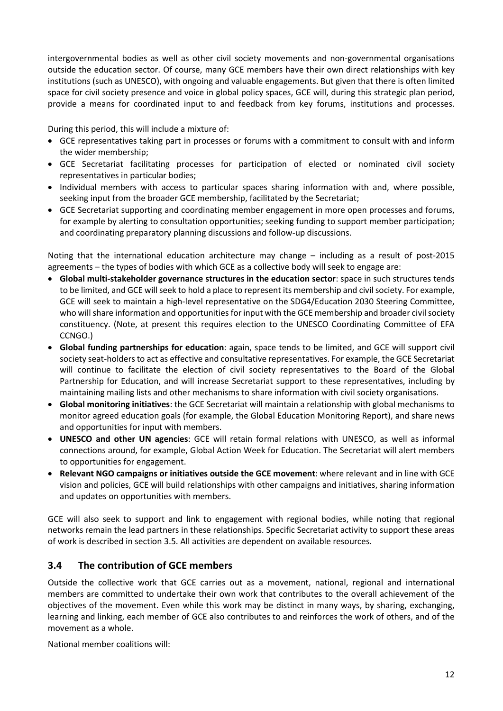intergovernmental bodies as well as other civil society movements and non-governmental organisations outside the education sector. Of course, many GCE members have their own direct relationships with key institutions (such as UNESCO), with ongoing and valuable engagements. But given that there is often limited space for civil society presence and voice in global policy spaces, GCE will, during this strategic plan period, provide a means for coordinated input to and feedback from key forums, institutions and processes.

During this period, this will include a mixture of:

- GCE representatives taking part in processes or forums with a commitment to consult with and inform the wider membership;
- GCE Secretariat facilitating processes for participation of elected or nominated civil society representatives in particular bodies;
- Individual members with access to particular spaces sharing information with and, where possible, seeking input from the broader GCE membership, facilitated by the Secretariat;
- GCE Secretariat supporting and coordinating member engagement in more open processes and forums, for example by alerting to consultation opportunities; seeking funding to support member participation; and coordinating preparatory planning discussions and follow-up discussions.

Noting that the international education architecture may change – including as a result of post-2015 agreements – the types of bodies with which GCE as a collective body will seek to engage are:

- Global multi-stakeholder governance structures in the education sector: space in such structures tends to be limited, and GCE will seek to hold a place to represent its membership and civil society. For example, GCE will seek to maintain a high-level representative on the SDG4/Education 2030 Steering Committee, who will share information and opportunities for input with the GCE membership and broader civil society constituency. (Note, at present this requires election to the UNESCO Coordinating Committee of EFA CCNGO.)
- Global funding partnerships for education: again, space tends to be limited, and GCE will support civil society seat-holders to act as effective and consultative representatives. For example, the GCE Secretariat will continue to facilitate the election of civil society representatives to the Board of the Global Partnership for Education, and will increase Secretariat support to these representatives, including by maintaining mailing lists and other mechanisms to share information with civil society organisations.
- Global monitoring initiatives: the GCE Secretariat will maintain a relationship with global mechanisms to monitor agreed education goals (for example, the Global Education Monitoring Report), and share news and opportunities for input with members.
- UNESCO and other UN agencies: GCE will retain formal relations with UNESCO, as well as informal connections around, for example, Global Action Week for Education. The Secretariat will alert members to opportunities for engagement.
- Relevant NGO campaigns or initiatives outside the GCE movement: where relevant and in line with GCE vision and policies, GCE will build relationships with other campaigns and initiatives, sharing information and updates on opportunities with members.

GCE will also seek to support and link to engagement with regional bodies, while noting that regional networks remain the lead partners in these relationships. Specific Secretariat activity to support these areas of work is described in section 3.5. All activities are dependent on available resources.

# 3.4 The contribution of GCE members

Outside the collective work that GCE carries out as a movement, national, regional and international members are committed to undertake their own work that contributes to the overall achievement of the objectives of the movement. Even while this work may be distinct in many ways, by sharing, exchanging, learning and linking, each member of GCE also contributes to and reinforces the work of others, and of the movement as a whole.

National member coalitions will: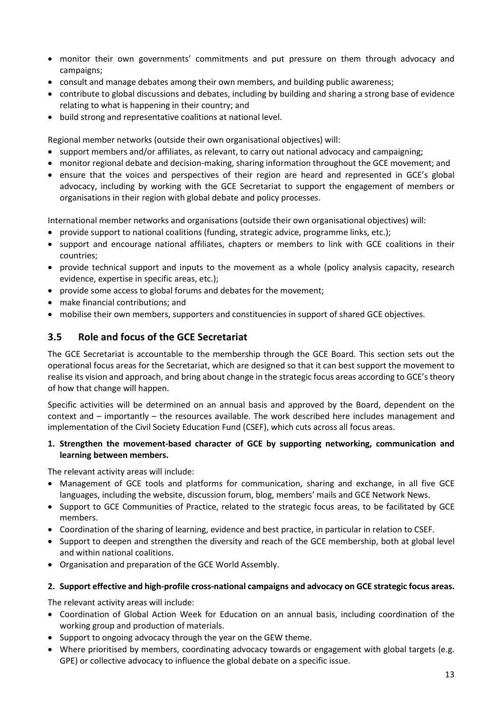- monitor their own governments' commitments and put pressure on them through advocacy and campaigns;
- consult and manage debates among their own members, and building public awareness;
- contribute to global discussions and debates, including by building and sharing a strong base of evidence relating to what is happening in their country; and
- build strong and representative coalitions at national level.

Regional member networks (outside their own organisational objectives) will:

- support members and/or affiliates, as relevant, to carry out national advocacy and campaigning;
- monitor regional debate and decision-making, sharing information throughout the GCE movement; and
- ensure that the voices and perspectives of their region are heard and represented in GCE's global advocacy, including by working with the GCE Secretariat to support the engagement of members or organisations in their region with global debate and policy processes.

International member networks and organisations (outside their own organisational objectives) will:

- provide support to national coalitions (funding, strategic advice, programme links, etc.);
- support and encourage national affiliates, chapters or members to link with GCE coalitions in their countries;
- provide technical support and inputs to the movement as a whole (policy analysis capacity, research evidence, expertise in specific areas, etc.);
- provide some access to global forums and debates for the movement;
- make financial contributions; and
- mobilise their own members, supporters and constituencies in support of shared GCE objectives.

# 3.5 Role and focus of the GCE Secretariat

The GCE Secretariat is accountable to the membership through the GCE Board. This section sets out the operational focus areas for the Secretariat, which are designed so that it can best support the movement to realise its vision and approach, and bring about change in the strategic focus areas according to GCE's theory of how that change will happen.

Specific activities will be determined on an annual basis and approved by the Board, dependent on the context and – importantly – the resources available. The work described here includes management and implementation of the Civil Society Education Fund (CSEF), which cuts across all focus areas.

#### 1. Strengthen the movement-based character of GCE by supporting networking, communication and learning between members.

The relevant activity areas will include:

- Management of GCE tools and platforms for communication, sharing and exchange, in all five GCE languages, including the website, discussion forum, blog, members' mails and GCE Network News.
- Support to GCE Communities of Practice, related to the strategic focus areas, to be facilitated by GCE members.
- Coordination of the sharing of learning, evidence and best practice, in particular in relation to CSEF.
- Support to deepen and strengthen the diversity and reach of the GCE membership, both at global level and within national coalitions.
- Organisation and preparation of the GCE World Assembly.

#### 2. Support effective and high-profile cross-national campaigns and advocacy on GCE strategic focus areas.

The relevant activity areas will include:

- Coordination of Global Action Week for Education on an annual basis, including coordination of the working group and production of materials.
- Support to ongoing advocacy through the year on the GEW theme.
- Where prioritised by members, coordinating advocacy towards or engagement with global targets (e.g. GPE) or collective advocacy to influence the global debate on a specific issue.